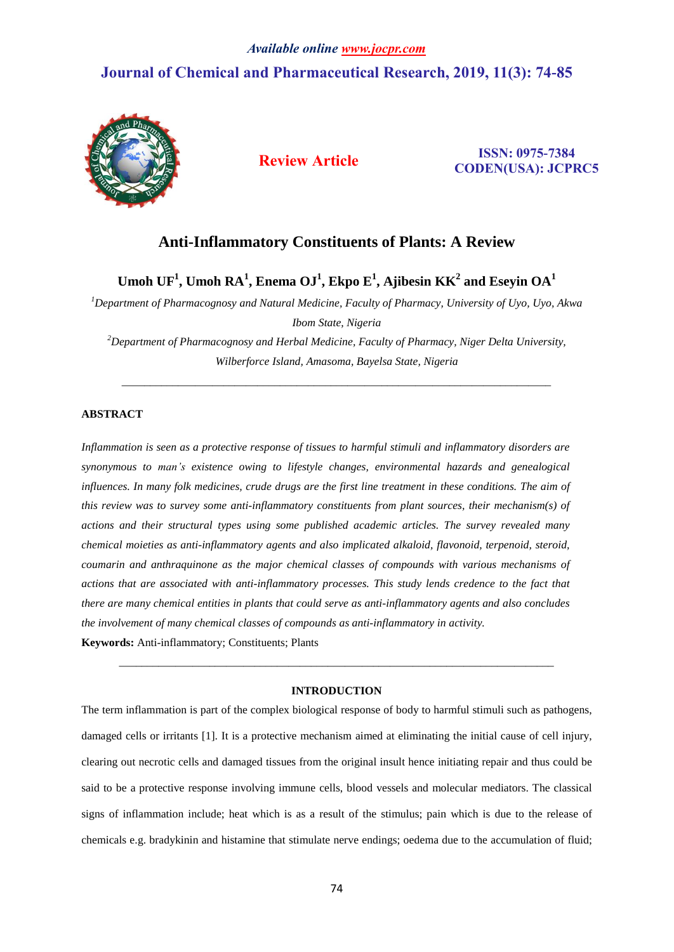# *Available online www.jocpr.com* **Journal of Chemical and Pharmaceutical Research, 2019, 11(3): 74-85**



**Review Article ISSN: 0975-7384 CODEN(USA): JCPRC5**

# **Anti-Inflammatory Constituents of Plants: A Review**

Umoh UF $^1$ , Umoh RA $^1$ , Enema OJ $^1$ , Ekpo E $^1$ , Ajibesin KK $^2$  and Eseyin OA $^1$ 

*<sup>1</sup>Department of Pharmacognosy and Natural Medicine, Faculty of Pharmacy, University of Uyo, Uyo, Akwa Ibom State, Nigeria*

*<sup>2</sup>Department of Pharmacognosy and Herbal Medicine, Faculty of Pharmacy, Niger Delta University, Wilberforce Island, Amasoma, Bayelsa State, Nigeria*

\_\_\_\_\_\_\_\_\_\_\_\_\_\_\_\_\_\_\_\_\_\_\_\_\_\_\_\_\_\_\_\_\_\_\_\_\_\_\_\_\_\_\_\_\_\_\_\_\_\_\_\_\_\_\_\_\_\_\_\_\_\_\_\_\_\_\_\_\_\_\_\_\_\_\_\_

#### **ABSTRACT**

*Inflammation is seen as a protective response of tissues to harmful stimuli and inflammatory disorders are synonymous to man's existence owing to lifestyle changes, environmental hazards and genealogical* influences. In many folk medicines, crude drugs are the first line treatment in these conditions. The aim of *this review was to survey some anti-inflammatory constituents from plant sources, their mechanism(s) of actions and their structural types using some published academic articles. The survey revealed many chemical moieties as anti-inflammatory agents and also implicated alkaloid, flavonoid, terpenoid, steroid, coumarin and anthraquinone as the major chemical classes of compounds with various mechanisms of actions that are associated with anti-inflammatory processes. This study lends credence to the fact that there are many chemical entities in plants that could serve as anti-inflammatory agents and also concludes the involvement of many chemical classes of compounds as anti-inflammatory in activity.*

**Keywords:** Anti-inflammatory; Constituents; Plants

#### **INTRODUCTION**

*\_\_\_\_\_\_\_\_\_\_\_\_\_\_\_\_\_\_\_\_\_\_\_\_\_\_\_\_\_\_\_\_\_\_\_\_\_\_\_\_\_\_\_\_\_\_\_\_\_\_\_\_\_\_\_\_\_\_\_\_\_\_\_\_\_\_\_\_\_\_\_\_\_\_\_\_\_*

The term inflammation is part of the complex biological response of body to harmful stimuli such as pathogens, damaged cells or irritants [1]. It is a protective mechanism aimed at eliminating the initial cause of cell injury, clearing out necrotic cells and damaged tissues from the original insult hence initiating repair and thus could be said to be a protective response involving immune cells, blood vessels and molecular mediators. The classical signs of inflammation include; heat which is as a result of the stimulus; pain which is due to the release of chemicals e.g. bradykinin and histamine that stimulate nerve endings; oedema due to the accumulation of fluid;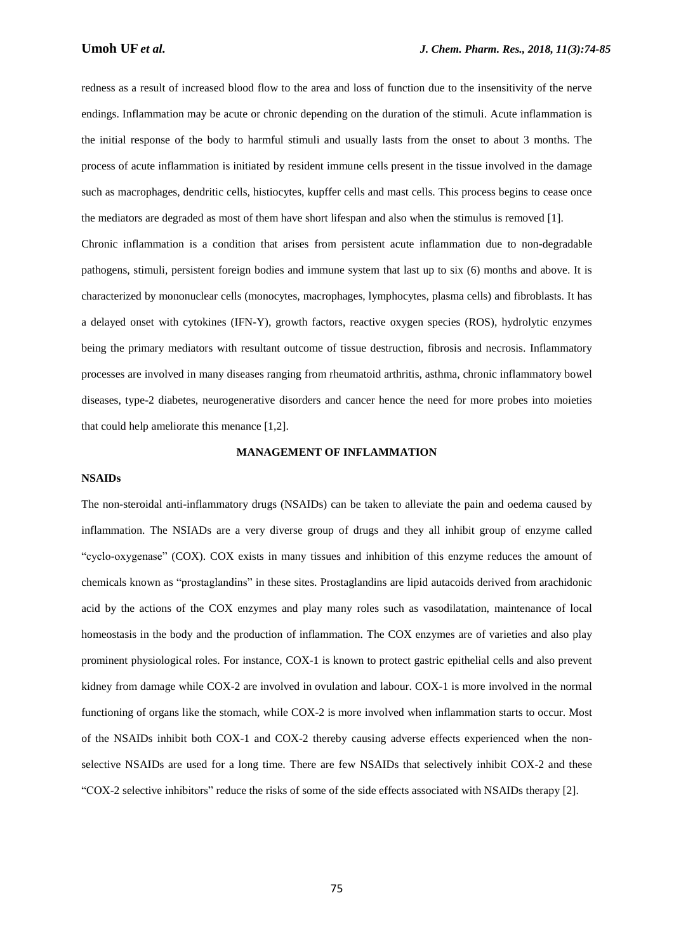redness as a result of increased blood flow to the area and loss of function due to the insensitivity of the nerve endings. Inflammation may be acute or chronic depending on the duration of the stimuli. Acute inflammation is the initial response of the body to harmful stimuli and usually lasts from the onset to about 3 months. The process of acute inflammation is initiated by resident immune cells present in the tissue involved in the damage such as macrophages, dendritic cells, histiocytes, kupffer cells and mast cells. This process begins to cease once the mediators are degraded as most of them have short lifespan and also when the stimulus is removed [1]. Chronic inflammation is a condition that arises from persistent acute inflammation due to non-degradable pathogens, stimuli, persistent foreign bodies and immune system that last up to six (6) months and above. It is characterized by mononuclear cells (monocytes, macrophages, lymphocytes, plasma cells) and fibroblasts. It has a delayed onset with cytokines (IFN-Y), growth factors, reactive oxygen species (ROS), hydrolytic enzymes being the primary mediators with resultant outcome of tissue destruction, fibrosis and necrosis. Inflammatory processes are involved in many diseases ranging from rheumatoid arthritis, asthma, chronic inflammatory bowel diseases, type-2 diabetes, neurogenerative disorders and cancer hence the need for more probes into moieties

that could help ameliorate this menance [1,2].

#### **MANAGEMENT OF INFLAMMATION**

#### **NSAIDs**

The non-steroidal anti-inflammatory drugs (NSAIDs) can be taken to alleviate the pain and oedema caused by inflammation. The NSIADs are a very diverse group of drugs and they all inhibit group of enzyme called "cyclo-oxygenase" (COX). COX exists in many tissues and inhibition of this enzyme reduces the amount of chemicals known as "prostaglandins" in these sites. Prostaglandins are lipid autacoids derived from arachidonic acid by the actions of the COX enzymes and play many roles such as vasodilatation, maintenance of local homeostasis in the body and the production of inflammation. The COX enzymes are of varieties and also play prominent physiological roles. For instance, COX-1 is known to protect gastric epithelial cells and also prevent kidney from damage while COX-2 are involved in ovulation and labour. COX-1 is more involved in the normal functioning of organs like the stomach, while COX-2 is more involved when inflammation starts to occur. Most of the NSAIDs inhibit both COX-1 and COX-2 thereby causing adverse effects experienced when the nonselective NSAIDs are used for a long time. There are few NSAIDs that selectively inhibit COX-2 and these "COX-2 selective inhibitors" reduce the risks of some of the side effects associated with NSAIDs therapy [2].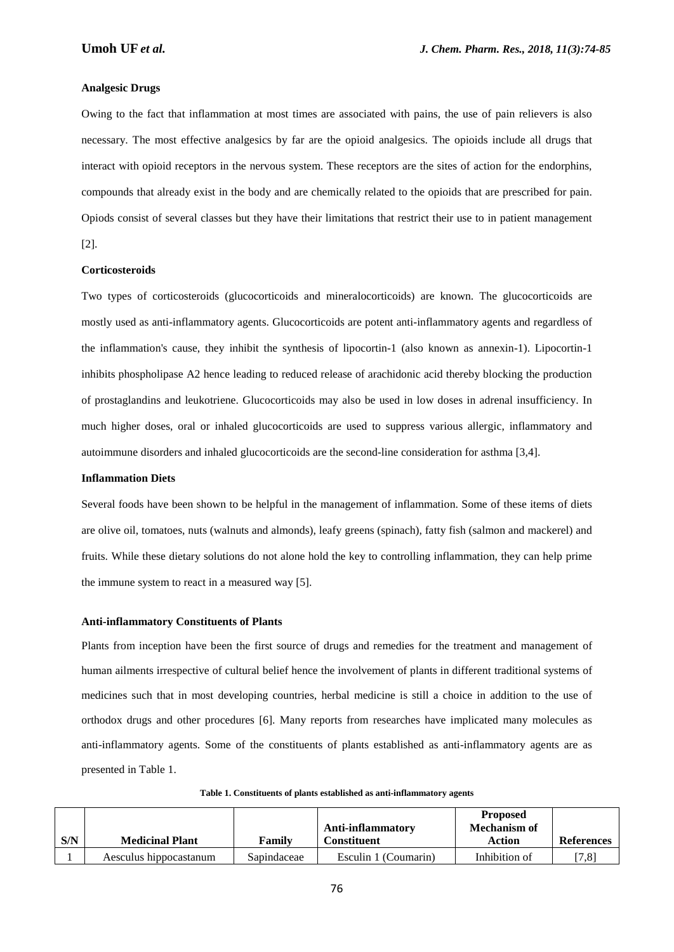#### **Analgesic Drugs**

Owing to the fact that inflammation at most times are associated with pains, the use of pain relievers is also necessary. The most effective analgesics by far are the opioid analgesics. The opioids include all drugs that interact with opioid receptors in the nervous system. These receptors are the sites of action for the endorphins, compounds that already exist in the body and are chemically related to the opioids that are prescribed for pain. Opiods consist of several classes but they have their limitations that restrict their use to in patient management [2].

#### **Corticosteroids**

Two types of corticosteroids (glucocorticoids and mineralocorticoids) are known. The glucocorticoids are mostly used as anti-inflammatory agents. Glucocorticoids are potent anti-inflammatory agents and regardless of the inflammation's cause, they inhibit the synthesis of lipocortin-1 (also known as annexin-1). Lipocortin-1 inhibits phospholipase A2 hence leading to reduced release of arachidonic acid thereby blocking the production of prostaglandins and leukotriene. Glucocorticoids may also be used in low doses in adrenal insufficiency. In much higher doses, oral or inhaled glucocorticoids are used to suppress various [allergic,](https://en.wikipedia.org/wiki/Allergy) [inflammatory](https://en.wikipedia.org/wiki/Inflammation) and autoimmune disorders and inhaled glucocorticoids are the second-line consideration for [asthma](https://en.wikipedia.org/wiki/Asthma) [3,4].

#### **Inflammation Diets**

Several foods have been shown to be helpful in the management of inflammation. Some of these items of diets are olive oil, tomatoes, nuts (walnuts and almonds), leafy greens (spinach), fatty fish (salmon and mackerel) and fruits. While these dietary solutions do not alone hold the key to controlling inflammation, they can help prime the immune system to react in a measured way [5].

#### **Anti-inflammatory Constituents of Plants**

Plants from inception have been the first source of drugs and remedies for the treatment and management of human ailments irrespective of cultural belief hence the involvement of plants in different traditional systems of medicines such that in most developing countries, herbal medicine is still a choice in addition to the use of orthodox drugs and other procedures [6]. Many reports from researches have implicated many molecules as anti-inflammatory agents. Some of the constituents of plants established as anti-inflammatory agents are as presented in Table 1.

| Table 1. Constituents of plants established as anti-inflammatory agents |  |  |  |
|-------------------------------------------------------------------------|--|--|--|
|-------------------------------------------------------------------------|--|--|--|

|     |                        |             |                      | <b>Proposed</b>     |                   |
|-----|------------------------|-------------|----------------------|---------------------|-------------------|
|     |                        |             | Anti-inflammatory    | <b>Mechanism of</b> |                   |
| S/N | <b>Medicinal Plant</b> | Family      | <b>Constituent</b>   | Action              | <b>References</b> |
|     | Aesculus hippocastanum | Sapindaceae | Esculin 1 (Coumarin) | Inhibition of       |                   |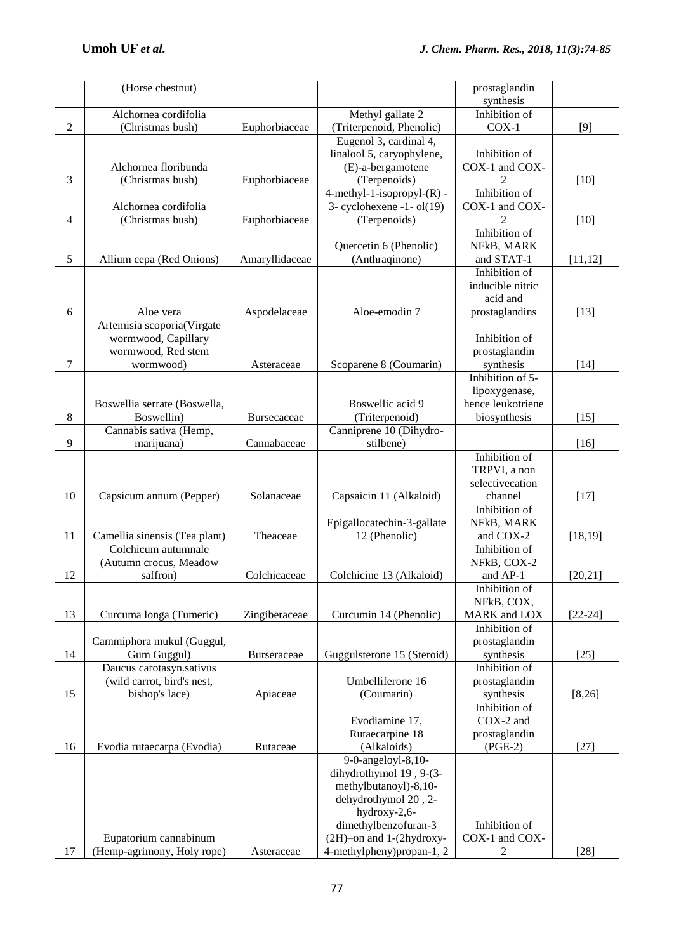|    | (Horse chestnut)              |                    |                                  | prostaglandin<br>synthesis  |           |
|----|-------------------------------|--------------------|----------------------------------|-----------------------------|-----------|
|    | Alchornea cordifolia          |                    | Methyl gallate 2                 | Inhibition of               |           |
| 2  | (Christmas bush)              | Euphorbiaceae      | (Triterpenoid, Phenolic)         | $COX-1$                     | $[9]$     |
|    |                               |                    | Eugenol 3, cardinal 4,           |                             |           |
|    |                               |                    | linalool 5, caryophylene,        | Inhibition of               |           |
|    | Alchornea floribunda          |                    | (E)-a-bergamotene                | COX-1 and COX-              |           |
| 3  | (Christmas bush)              | Euphorbiaceae      | (Terpenoids)                     | 2                           | $[10]$    |
|    |                               |                    | $4$ -methyl-1-isopropyl- $(R)$ - | Inhibition of               |           |
|    | Alchornea cordifolia          |                    | $3$ - cyclohexene -1 - ol $(19)$ | COX-1 and COX-              |           |
| 4  | (Christmas bush)              | Euphorbiaceae      | (Terpenoids)                     | 2                           | $[10]$    |
|    |                               |                    |                                  | Inhibition of               |           |
|    |                               |                    | Quercetin 6 (Phenolic)           | NFkB, MARK                  |           |
| 5  | Allium cepa (Red Onions)      | Amaryllidaceae     | (Anthraqinone)                   | and STAT-1                  | [11, 12]  |
|    |                               |                    |                                  | Inhibition of               |           |
|    |                               |                    |                                  | inducible nitric            |           |
|    |                               |                    |                                  | acid and                    |           |
| 6  | Aloe vera                     | Aspodelaceae       | Aloe-emodin 7                    | prostaglandins              | $[13]$    |
|    | Artemisia scoporia(Virgate    |                    |                                  |                             |           |
|    | wormwood, Capillary           |                    |                                  | Inhibition of               |           |
|    | wormwood, Red stem            |                    |                                  | prostaglandin               |           |
| 7  | wormwood)                     | Asteraceae         | Scoparene 8 (Coumarin)           | synthesis                   | $[14]$    |
|    |                               |                    |                                  | Inhibition of 5-            |           |
|    |                               |                    |                                  | lipoxygenase,               |           |
|    | Boswellia serrate (Boswella,  |                    | Boswellic acid 9                 | hence leukotriene           |           |
| 8  | Boswellin)                    | Bursecaceae        | (Triterpenoid)                   | biosynthesis                | $[15]$    |
|    | Cannabis sativa (Hemp,        |                    | Canniprene 10 (Dihydro-          |                             |           |
| 9  | marijuana)                    | Cannabaceae        | stilbene)                        |                             | $[16]$    |
|    |                               |                    |                                  | Inhibition of               |           |
|    |                               |                    |                                  | TRPVI, a non                |           |
|    |                               |                    |                                  | selectivecation             |           |
| 10 | Capsicum annum (Pepper)       | Solanaceae         | Capsaicin 11 (Alkaloid)          | channel                     | $[17]$    |
|    |                               |                    |                                  | Inhibition of               |           |
|    |                               |                    | Epigallocatechin-3-gallate       | NFkB, MARK                  |           |
| 11 | Camellia sinensis (Tea plant) | Theaceae           | 12 (Phenolic)                    | and COX-2                   | [18, 19]  |
|    | Colchicum autumnale           |                    |                                  | Inhibition of               |           |
|    | (Autumn crocus, Meadow        |                    |                                  | NFkB, COX-2                 |           |
| 12 | saffron)                      | Colchicaceae       | Colchicine 13 (Alkaloid)         | and AP-1                    | [20, 21]  |
|    |                               |                    |                                  | Inhibition of<br>NFkB, COX, |           |
| 13 | Curcuma longa (Tumeric)       | Zingiberaceae      | Curcumin 14 (Phenolic)           | MARK and LOX                | $[22-24]$ |
|    |                               |                    |                                  | Inhibition of               |           |
|    | Cammiphora mukul (Guggul,     |                    |                                  | prostaglandin               |           |
| 14 | Gum Guggul)                   | <b>Burseraceae</b> | Guggulsterone 15 (Steroid)       | synthesis                   | $[25]$    |
|    | Daucus carotasyn.sativus      |                    |                                  | Inhibition of               |           |
|    | (wild carrot, bird's nest,    |                    | Umbelliferone 16                 | prostaglandin               |           |
| 15 | bishop's lace)                | Apiaceae           | (Coumarin)                       | synthesis                   | [8,26]    |
|    |                               |                    |                                  | Inhibition of               |           |
|    |                               |                    | Evodiamine 17,                   | COX-2 and                   |           |
|    |                               |                    | Rutaecarpine 18                  | prostaglandin               |           |
| 16 | Evodia rutaecarpa (Evodia)    | Rutaceae           | (Alkaloids)                      | $(PGE-2)$                   | $[27]$    |
|    |                               |                    | 9-0-angeloyl-8,10-               |                             |           |
|    |                               |                    | dihydrothymol 19, 9-(3-          |                             |           |
|    |                               |                    | methylbutanoyl)-8,10-            |                             |           |
|    |                               |                    | dehydrothymol 20, 2-             |                             |           |
|    |                               |                    | hydroxy-2,6-                     |                             |           |
|    |                               |                    | dimethylbenzofuran-3             | Inhibition of               |           |
|    | Eupatorium cannabinum         |                    | (2H)-on and 1-(2hydroxy-         | COX-1 and COX-              |           |
| 17 | (Hemp-agrimony, Holy rope)    | Asteraceae         | 4-methylpheny)propan-1, 2        | 2                           | $[28]$    |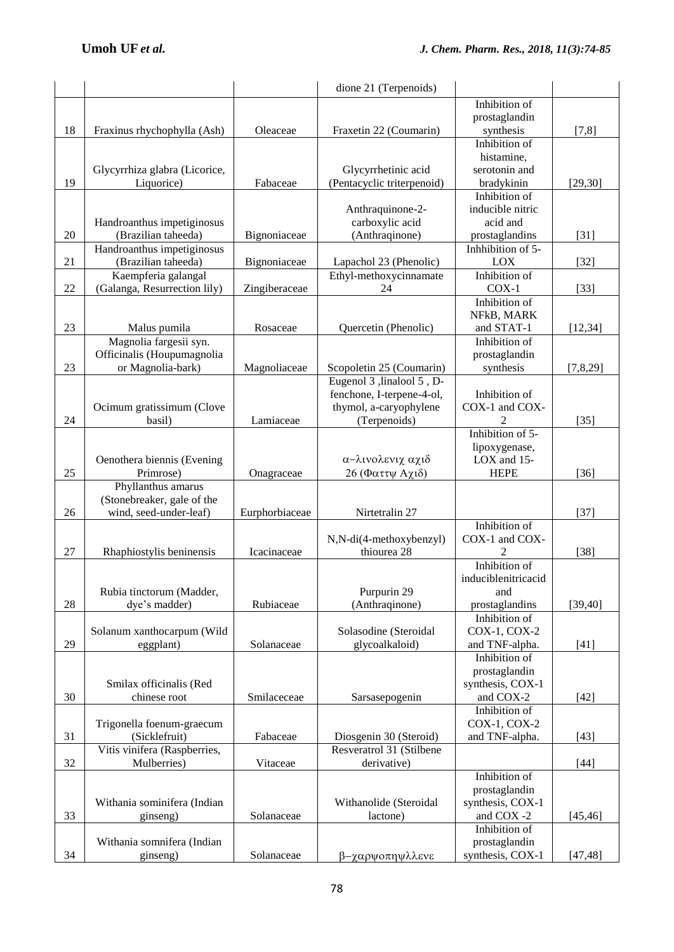|    |                                                      |                | dione 21 (Terpenoids)                               |                                 |          |
|----|------------------------------------------------------|----------------|-----------------------------------------------------|---------------------------------|----------|
|    |                                                      |                |                                                     | Inhibition of                   |          |
|    |                                                      |                |                                                     | prostaglandin                   |          |
| 18 | Fraxinus rhychophylla (Ash)                          | Oleaceae       | Fraxetin 22 (Coumarin)                              | synthesis                       | [7,8]    |
|    |                                                      |                |                                                     | Inhibition of                   |          |
|    | Glycyrrhiza glabra (Licorice,                        |                | Glycyrrhetinic acid                                 | histamine,<br>serotonin and     |          |
| 19 | Liquorice)                                           | Fabaceae       | (Pentacyclic triterpenoid)                          | bradykinin                      | [29, 30] |
|    |                                                      |                |                                                     | Inhibition of                   |          |
|    |                                                      |                | Anthraquinone-2-                                    | inducible nitric                |          |
|    | Handroanthus impetiginosus                           |                | carboxylic acid                                     | acid and                        |          |
| 20 | (Brazilian taheeda)                                  | Bignoniaceae   | (Anthraqinone)                                      | prostaglandins                  | $[31]$   |
|    | Handroanthus impetiginosus                           |                |                                                     | Inhhibition of 5-               |          |
| 21 | (Brazilian taheeda)                                  | Bignoniaceae   | Lapachol 23 (Phenolic)                              | LOX<br>Inhibition of            | $[32]$   |
| 22 | Kaempferia galangal<br>(Galanga, Resurrection lily)  | Zingiberaceae  | Ethyl-methoxycinnamate<br>24                        | $COX-1$                         | $[33]$   |
|    |                                                      |                |                                                     | Inhibition of                   |          |
|    |                                                      |                |                                                     | NFkB, MARK                      |          |
| 23 | Malus pumila                                         | Rosaceae       | Quercetin (Phenolic)                                | and STAT-1                      | [12, 34] |
|    | Magnolia fargesii syn.                               |                |                                                     | Inhibition of                   |          |
|    | Officinalis (Houpumagnolia                           |                |                                                     | prostaglandin                   |          |
| 23 | or Magnolia-bark)                                    | Magnoliaceae   | Scopoletin 25 (Coumarin)                            | synthesis                       | [7,8,29] |
|    |                                                      |                | Eugenol 3 , linalool 5, D-                          |                                 |          |
|    | Ocimum gratissimum (Clove                            |                | fenchone, I-terpene-4-ol,<br>thymol, a-caryophylene | Inhibition of<br>COX-1 and COX- |          |
| 24 | basil)                                               | Lamiaceae      | (Terpenoids)                                        | 2                               | $[35]$   |
|    |                                                      |                |                                                     | Inhibition of 5-                |          |
|    |                                                      |                |                                                     | lipoxygenase,                   |          |
|    | Oenothera biennis (Evening                           |                | α-λινολενιχ αχιδ                                    | LOX and 15-                     |          |
| 25 | Primrose)                                            | Onagraceae     | 26 (Φαττψ Αχιδ)                                     | <b>HEPE</b>                     | $[36]$   |
|    | Phyllanthus amarus                                   |                |                                                     |                                 |          |
| 26 | (Stonebreaker, gale of the<br>wind, seed-under-leaf) | Eurphorbiaceae | Nirtetralin 27                                      |                                 | $[37]$   |
|    |                                                      |                |                                                     | Inhibition of                   |          |
|    |                                                      |                | N,N-di(4-methoxybenzyl)                             | COX-1 and COX-                  |          |
| 27 | Rhaphiostylis beninensis                             | Icacinaceae    | thiourea 28                                         | $\overline{c}$                  | $[38]$   |
|    |                                                      |                |                                                     | Inhibition of                   |          |
|    |                                                      |                |                                                     | induciblenitricacid             |          |
| 28 | Rubia tinctorum (Madder,                             | Rubiaceae      | Purpurin 29<br>(Anthraqinone)                       | and                             | [39, 40] |
|    | dye's madder)                                        |                |                                                     | prostaglandins<br>Inhibition of |          |
|    | Solanum xanthocarpum (Wild                           |                | Solasodine (Steroidal                               | COX-1, COX-2                    |          |
| 29 | eggplant)                                            | Solanaceae     | glycoalkaloid)                                      | and TNF-alpha.                  | $[41]$   |
|    |                                                      |                |                                                     | Inhibition of                   |          |
|    |                                                      |                |                                                     | prostaglandin                   |          |
|    | Smilax officinalis (Red                              |                |                                                     | synthesis, COX-1                |          |
| 30 | chinese root                                         | Smilaceceae    | Sarsasepogenin                                      | and COX-2<br>Inhibition of      | $[42]$   |
|    | Trigonella foenum-graecum                            |                |                                                     | COX-1, COX-2                    |          |
| 31 | (Sicklefruit)                                        | Fabaceae       | Diosgenin 30 (Steroid)                              | and TNF-alpha.                  | $[43]$   |
|    | Vitis vinifera (Raspberries,                         |                | Resveratrol 31 (Stilbene                            |                                 |          |
| 32 | Mulberries)                                          | Vitaceae       | derivative)                                         |                                 | $[44]$   |
|    |                                                      |                |                                                     | Inhibition of                   |          |
|    |                                                      |                |                                                     | prostaglandin                   |          |
|    | Withania sominifera (Indian                          |                | Withanolide (Steroidal                              | synthesis, COX-1                |          |
| 33 | ginseng)                                             | Solanaceae     | lactone)                                            | and COX -2<br>Inhibition of     | [45, 46] |
|    | Withania somnifera (Indian                           |                |                                                     | prostaglandin                   |          |
| 34 | ginseng)                                             | Solanaceae     | β-χαρψοπηψλλενε                                     | synthesis, COX-1                | [47, 48] |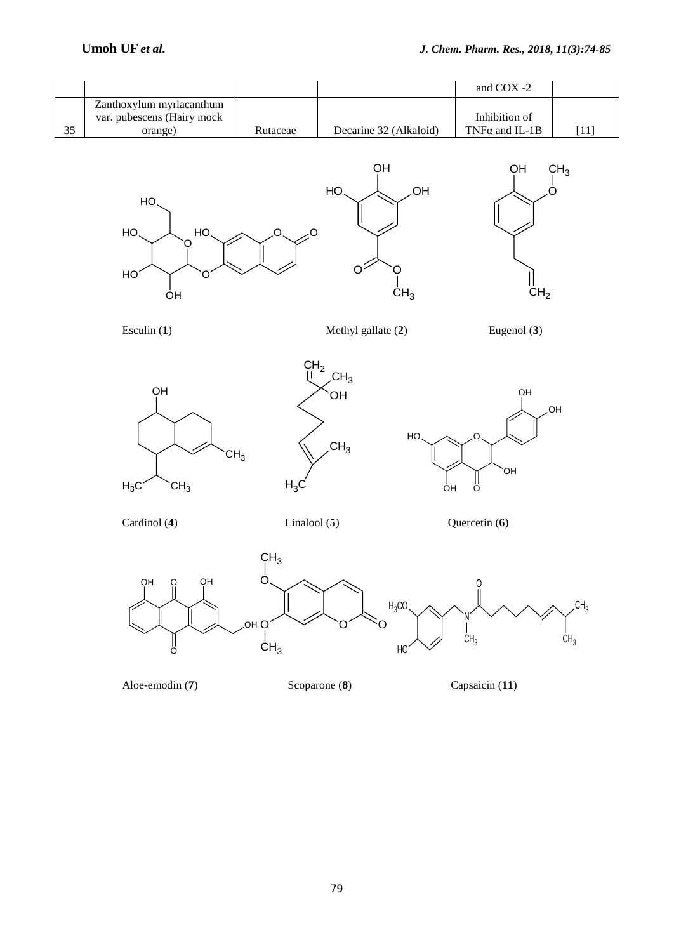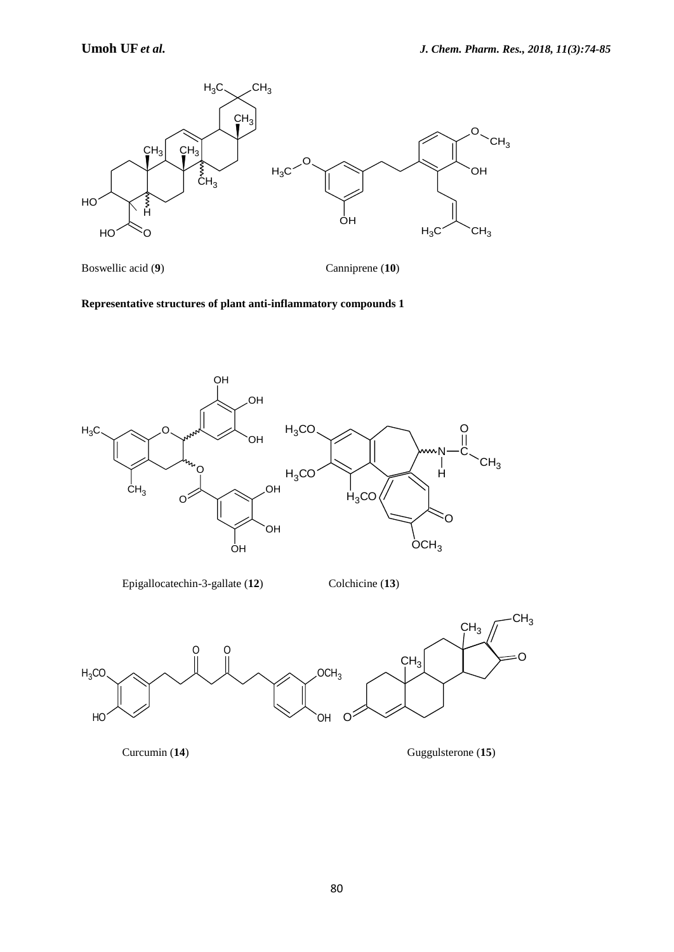

Boswellic acid (**9**) Canniprene (**10**)

**Representative structures of plant anti-inflammatory compounds 1**



Epigallocatechin-3-gallate (**12**) Colchicine (**13**)



Curcumin (**14**) Guggulsterone (**15**)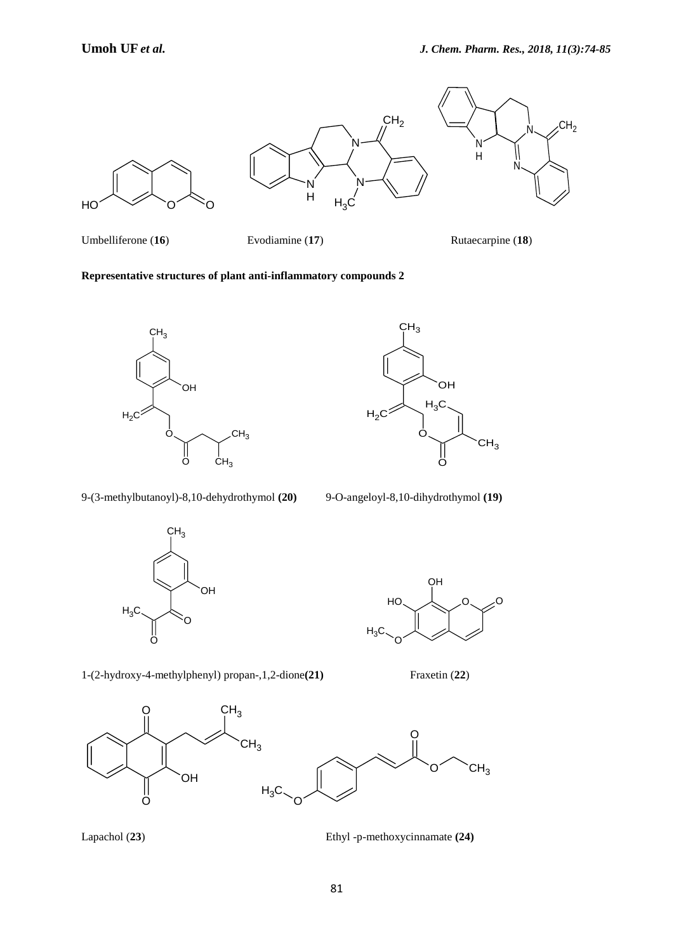



Umbelliferone (16) Evodiamine (17) Rutaecarpine (18)

## **Representative structures of plant anti-inflammatory compounds 2**





9-(3-methylbutanoyl)-8,10-dehydrothymol **(20)** 9-O-angeloyl-8,10-dihydrothymol **(19)**





1-(2-hydroxy-4-methylphenyl) propan-,1,2-dione**(21)** Fraxetin (**22**)





Lapachol (**23**) Ethyl -p-methoxycinnamate **(24)**

81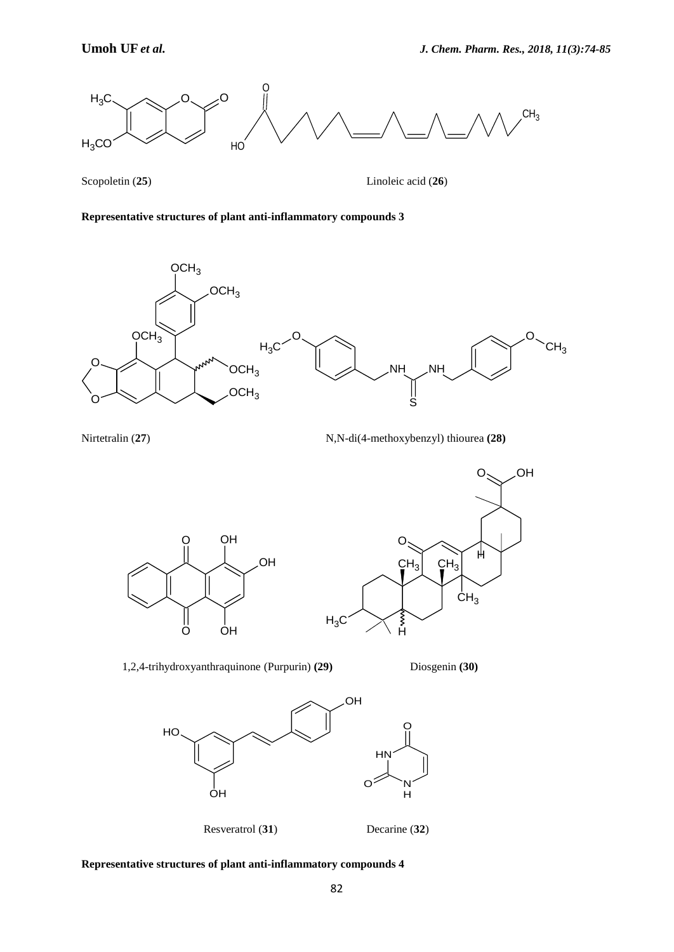

Scopoletin (25) Linoleic acid (26)

### **Representative structures of plant anti-inflammatory compounds 3**



Nirtetralin (27) N,N-di(4-methoxybenzyl) thiourea (28)





1,2,4-trihydroxyanthraquinone (Purpurin) **(29)** Diosgenin **(30)**



Resveratrol (**31**) Decarine (**32**)

# **Representative structures of plant anti-inflammatory compounds 4**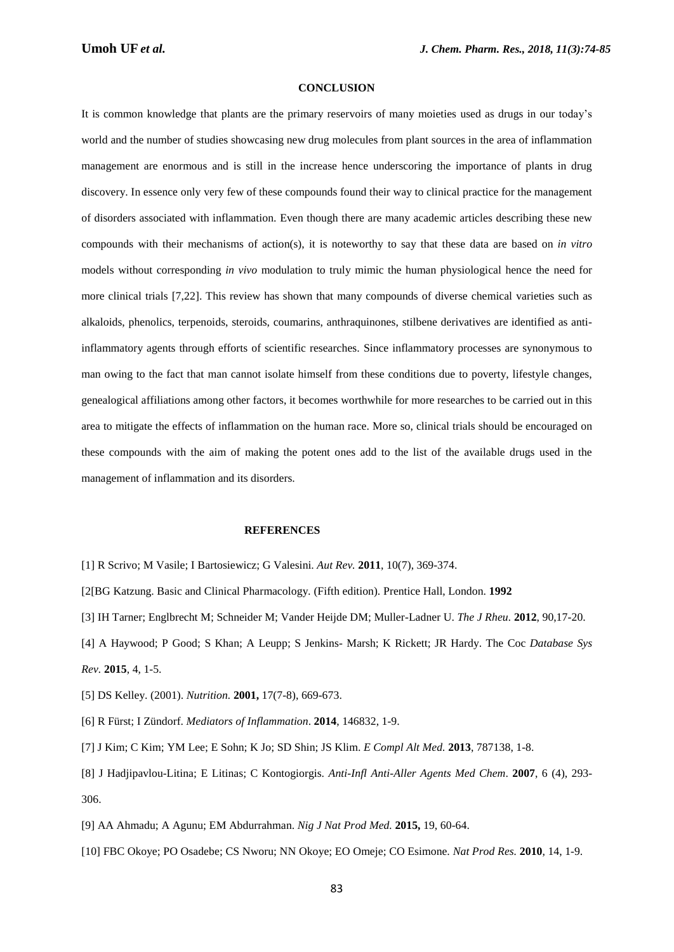#### **CONCLUSION**

It is common knowledge that plants are the primary reservoirs of many moieties used as drugs in our today's world and the number of studies showcasing new drug molecules from plant sources in the area of inflammation management are enormous and is still in the increase hence underscoring the importance of plants in drug discovery. In essence only very few of these compounds found their way to clinical practice for the management of disorders associated with inflammation. Even though there are many academic articles describing these new compounds with their mechanisms of action(s), it is noteworthy to say that these data are based on *in vitro* models without corresponding *in vivo* modulation to truly mimic the human physiological hence the need for more clinical trials [7,22]. This review has shown that many compounds of diverse chemical varieties such as alkaloids, phenolics, terpenoids, steroids, coumarins, anthraquinones, stilbene derivatives are identified as antiinflammatory agents through efforts of scientific researches. Since inflammatory processes are synonymous to man owing to the fact that man cannot isolate himself from these conditions due to poverty, lifestyle changes, genealogical affiliations among other factors, it becomes worthwhile for more researches to be carried out in this area to mitigate the effects of inflammation on the human race. More so, clinical trials should be encouraged on these compounds with the aim of making the potent ones add to the list of the available drugs used in the management of inflammation and its disorders.

#### **REFERENCES**

- [1] R Scrivo; M Vasile; I Bartosiewicz; G Valesini. *Aut Rev.* **2011**, 10(7), 369-374.
- [2[BG Katzung. Basic and Clinical Pharmacology*.* (Fifth edition). Prentice Hall, London. **1992**
- [3] IH Tarner; Englbrecht M; Schneider M; Vander Heijde DM; Muller-Ladner U. *The J Rheu.* **2012**, 90,17-20.
- [4] A Haywood; P Good; S Khan; A Leupp; S Jenkins- Marsh; K Rickett; JR Hardy. The Coc *Database Sys Rev.* **2015**, 4, 1-5.
- [5] DS Kelley. (2001). *Nutrition.* **2001,** 17(7-8), 669-673.
- [6] R Fürst; I Zündorf. *Mediators of Inflammation*. **2014**, 146832, 1-9.
- [7] J Kim; C Kim; YM Lee; E Sohn; K Jo; SD Shin; JS Klim. *E Compl Alt Med.* **2013**, 787138, 1-8.
- [8] J Hadjipavlou-Litina; E Litinas; C Kontogiorgis. *Anti-Infl Anti-Aller Agents Med Chem*. **2007**, 6 (4), 293- 306.
- [9] AA Ahmadu; A Agunu; EM Abdurrahman. *Nig J Nat Prod Med.* **2015,** 19, 60-64.
- [10] FBC Okoye; PO Osadebe; CS Nworu; NN Okoye; EO Omeje; CO Esimone. *Nat Prod Res.* **2010**, 14, 1-9.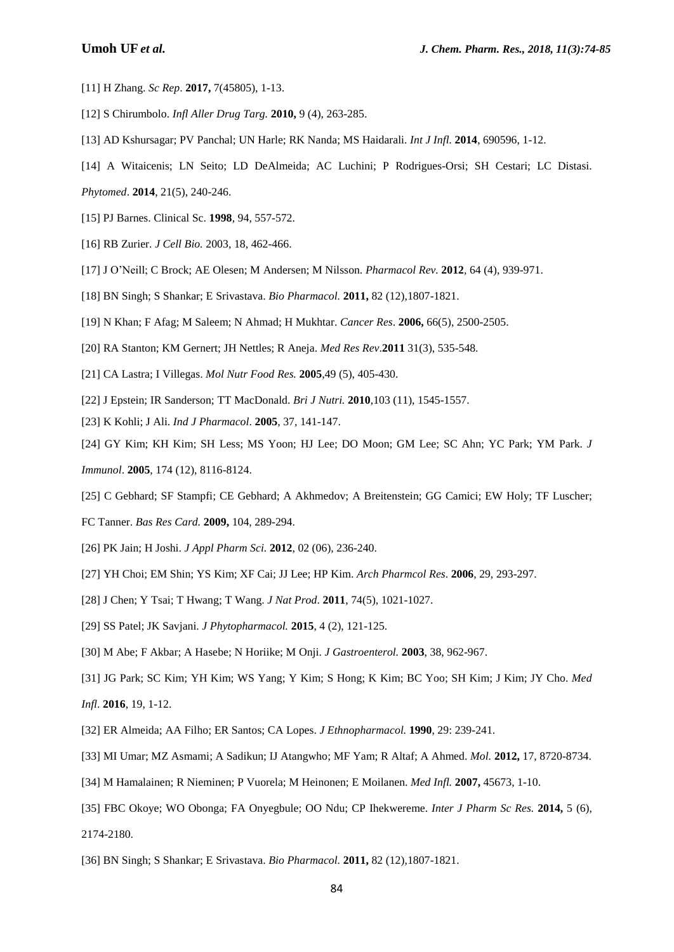- [11] H Zhang. *Sc Rep*. **2017,** 7(45805), 1-13.
- [12] S Chirumbolo. *Infl Aller Drug Targ.* **2010,** 9 (4), 263-285.
- [13] AD Kshursagar; PV Panchal; UN Harle; RK Nanda; MS Haidarali. *Int J Infl.* **2014**, 690596, 1-12.
- [14] A Witaicenis; LN Seito; LD DeAlmeida; AC Luchini; P Rodrigues-Orsi; SH Cestari; LC Distasi.

*Phytomed*. **2014**, 21(5), 240-246.

- [15] PJ Barnes. Clinical Sc. **1998**, 94, 557-572.
- [16] RB Zurier. *J Cell Bio.* 2003, 18, 462-466.
- [17] J O'Neill; C Brock; AE Olesen; M Andersen; M Nilsson. *Pharmacol Rev.* **2012***,* 64 (4), 939-971.
- [18] BN Singh; S Shankar; E Srivastava. *Bio Pharmacol.* **2011,** 82 (12),1807-1821.
- [19] N Khan; F Afag; M Saleem; N Ahmad; H Mukhtar. *Cancer Res*. **2006,** 66(5), 2500-2505.
- [20] RA Stanton; KM Gernert; JH Nettles; R Aneja. *Med Res Rev*.**2011** 31(3), 535-548.
- [21] CA Lastra; I Villegas. *Mol Nutr Food Res.* **2005**,49 (5), 405-430.
- [22] J Epstein; IR Sanderson; TT MacDonald. *Bri J Nutri.* **2010**,103 (11), 1545-1557.
- [23] K Kohli; J Ali. *Ind J Pharmacol*. **2005**, 37, 141-147.
- [24] GY Kim; KH Kim; SH Less; MS Yoon; HJ Lee; DO Moon; GM Lee; SC Ahn; YC Park; YM Park. *J Immunol*. **2005**, 174 (12), 8116-8124.
- [25] C Gebhard; SF Stampfi; CE Gebhard; A Akhmedov; A Breitenstein; GG Camici; EW Holy; TF Luscher;
- FC Tanner. *Bas Res Card.* **2009,** 104, 289-294.
- [26] PK Jain; H Joshi. *J Appl Pharm Sci.* **2012**, 02 (06), 236-240.
- [27] YH Choi; EM Shin; YS Kim; XF Cai; JJ Lee; HP Kim. *Arch Pharmcol Res*. **2006**, 29, 293-297.
- [28] J Chen; Y Tsai; T Hwang; T Wang. *J Nat Prod*. **2011**, 74(5), 1021-1027.
- [29] SS Patel; JK Savjani. *J Phytopharmacol.* **2015**, 4 (2), 121-125.
- [30] M Abe; F Akbar; A Hasebe; N Horiike; M Onji. *J Gastroenterol.* **2003**, 38, 962-967.
- [31] JG Park; SC Kim; YH Kim; WS Yang; Y Kim; S Hong; K Kim; BC Yoo; SH Kim; J Kim; JY Cho. *Med Infl*. **2016**, 19, 1-12.
- [32] ER Almeida; AA Filho; ER Santos; CA Lopes. *J Ethnopharmacol.* **1990**, 29: 239-241.
- [33] MI Umar; MZ Asmami; A Sadikun; IJ Atangwho; MF Yam; R Altaf; A Ahmed. *Mol.* **2012,** 17, 8720-8734.
- [34] M Hamalainen; R Nieminen; P Vuorela; M Heinonen; E Moilanen. *Med Infl.* **2007,** 45673, 1-10.
- [35] FBC Okoye; WO Obonga; FA Onyegbule; OO Ndu; CP Ihekwereme. *Inter J Pharm Sc Res.* **2014,** 5 (6), 2174-2180.
- [36] BN Singh; S Shankar; E Srivastava. *Bio Pharmacol.* **2011,** 82 (12),1807-1821.